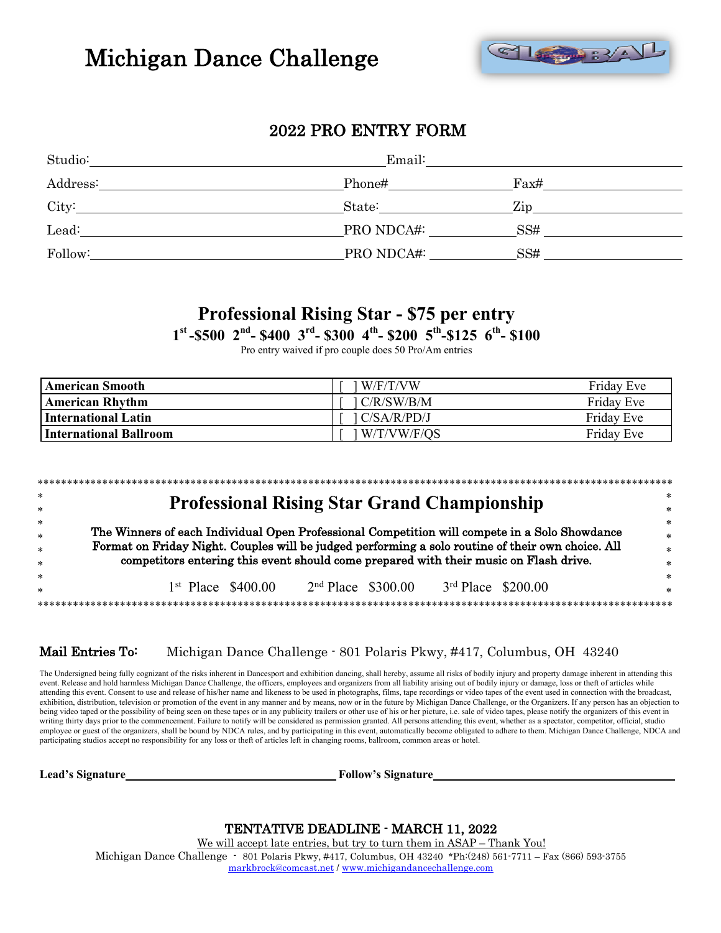# Michigan Dance Challenge



## 2022 PRO ENTRY FORM

| Studio:  | Email:     |      |  |  |  |
|----------|------------|------|--|--|--|
| Address: | Phone#     | Fast |  |  |  |
| City:    | State:     | Zip  |  |  |  |
| Lead:    | PRO NDCA#: | SS#  |  |  |  |
| Follow:  | PRO NDCA#: | SS#  |  |  |  |

## **Professional Rising Star - \$75 per entry**

**1st -\$500 2nd- \$400 3rd- \$300 4th- \$200 5th-\$125 6th- \$100**

Pro entry waived if pro couple does 50 Pro/Am entries

| <b>American Smooth</b> | l W/F/T/VW   | Friday Eve |
|------------------------|--------------|------------|
| American Rhythm        | 1 C/R/SW/B/M | Friday Eve |
| International Latin    | IC/SA/R/PD/J | Friday Eve |
| International Ballroom | W/T/VW/F/QS  | Friday Eve |

| *      |                                                                                                   | ∗      |
|--------|---------------------------------------------------------------------------------------------------|--------|
| $\ast$ | <b>Professional Rising Star Grand Championship</b>                                                | $\ast$ |
| *      |                                                                                                   | $\ast$ |
| $\ast$ | The Winners of each Individual Open Professional Competition will compete in a Solo Showdance     | $\ast$ |
| $\ast$ | Format on Friday Night. Couples will be judged performing a solo routine of their own choice. All | $\ast$ |
| $\ast$ | competitors entering this event should come prepared with their music on Flash drive.             | $\ast$ |
|        | $2nd$ Place $$300.00$<br>$3rd$ Place $$200.00$<br>$1st$ Place \$400.00                            | $\ast$ |
| *      |                                                                                                   |        |

#### Mail Entries To: Ï Michigan Dance Challenge - 801 Polaris Pkwy, #417, Columbus, OH 43240

The Undersigned being fully cognizant of the risks inherent in Dancesport and exhibition dancing, shall hereby, assume all risks of bodily injury and property damage inherent in attending this para base of the control of o event. Release and hold harmless Michigan Dance Challenge, the officers, employees and organizers from all liability arising out of bodily injury or damage, loss or theft of articles while attending this event. Consent to use and release of his/her name and likeness to be used in photographs, films, tape recordings or video tapes of the event used in connection with the broadcast, exhibition, distribution, television or promotion of the event in any manner and by means, now or in the future by Michigan Dance Challenge, or the Organizers. If any person has an objection to being video taped or the possibility of being seen on these tapes or in any publicity trailers or other use of his or her picture, i.e. sale of video tapes, please notify the organizers of this event in writing thirty days prior to the commencement. Failure to notify will be considered as permission granted. All persons attending this event, whether as a spectator, competitor, official, studio employee or guest of the organizers, shall be bound by NDCA rules, and by participating in this event, automatically become obligated to adhere to them. Michigan Dance Challenge, NDCA and participating studios accept no responsibility for any loss or theft of articles left in changing rooms, ballroom, common areas or hotel.

**Lead's Signature Follow's Signature**

TENTATIVE DEADLINE - MARCH 11, 2022<br>We will accept late entries, but try to turn them in ASAP – Thank You!<br>Michigan Dance Challenge - 801 Polaris Pkwy, #417, Columbus, OH 43240 \*Ph:(248) 561-7711 – Fax (866) 593-3755 markbrock@comcast.net / www.michigandancechallenge.com